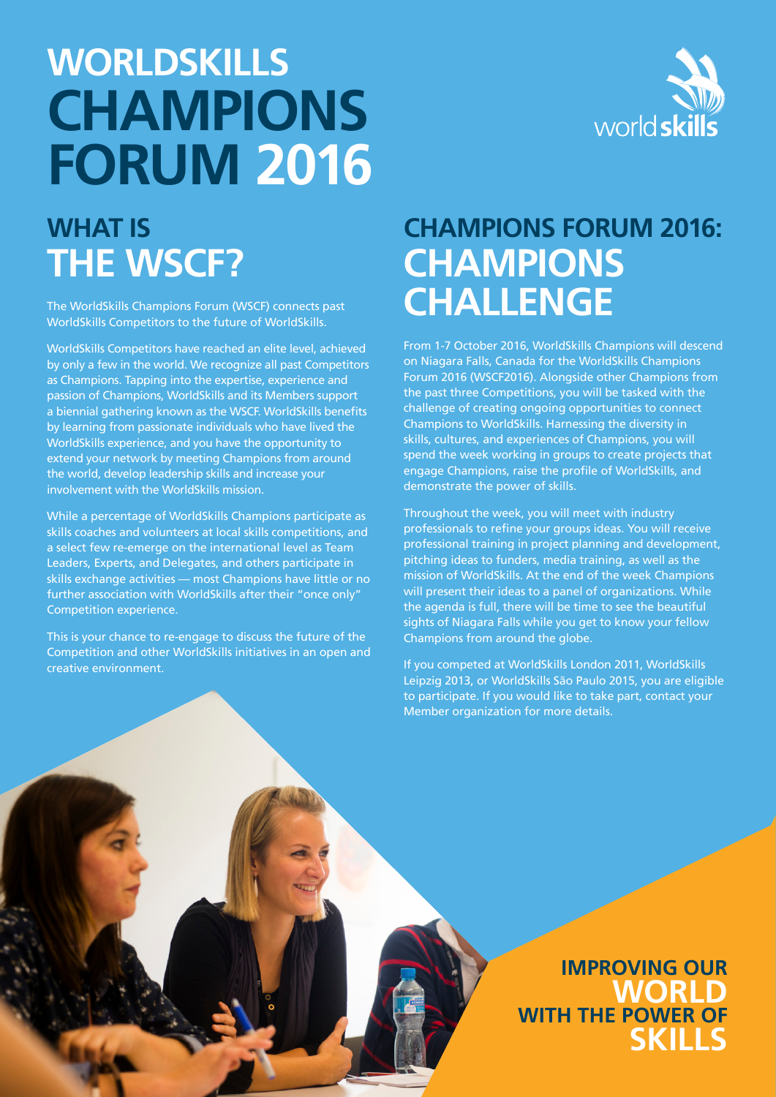# **WORLDSKILLS CHAMPIONS FORUM 2016**



## **WHAT IS THE WSCF?**

The WorldSkills Champions Forum (WSCF) connects past WorldSkills Competitors to the future of WorldSkills.

WorldSkills Competitors have reached an elite level, achieved by only a few in the world. We recognize all past Competitors as Champions. Tapping into the expertise, experience and passion of Champions, WorldSkills and its Members support a biennial gathering known as the WSCF. WorldSkills benefits by learning from passionate individuals who have lived the WorldSkills experience, and you have the opportunity to extend your network by meeting Champions from around the world, develop leadership skills and increase your involvement with the WorldSkills mission.

While a percentage of WorldSkills Champions participate as skills coaches and volunteers at local skills competitions, and a select few re-emerge on the international level as Team Leaders, Experts, and Delegates, and others participate in skills exchange activities — most Champions have little or no further association with WorldSkills after their "once only" Competition experience.

This is your chance to re-engage to discuss the future of the Competition and other WorldSkills initiatives in an open and creative environment.

### **CHAMPIONS FORUM 2016: CHAMPIONS CHALLENGE**

From 1-7 October 2016, WorldSkills Champions will descend on Niagara Falls, Canada for the WorldSkills Champions Forum 2016 (WSCF2016). Alongside other Champions from the past three Competitions, you will be tasked with the challenge of creating ongoing opportunities to connect Champions to WorldSkills. Harnessing the diversity in skills, cultures, and experiences of Champions, you will spend the week working in groups to create projects that engage Champions, raise the profile of WorldSkills, and demonstrate the power of skills.

Throughout the week, you will meet with industry professionals to refine your groups ideas. You will receive professional training in project planning and development, pitching ideas to funders, media training, as well as the mission of WorldSkills. At the end of the week Champions will present their ideas to a panel of organizations. While the agenda is full, there will be time to see the beautiful sights of Niagara Falls while you get to know your fellow Champions from around the globe.

If you competed at WorldSkills London 2011, WorldSkills Leipzig 2013, or WorldSkills São Paulo 2015, you are eligible to participate. If you would like to take part, contact your Member organization for more details.

> **IMPROVING OUR WORLD WITH THE POWER OF SKILLS**